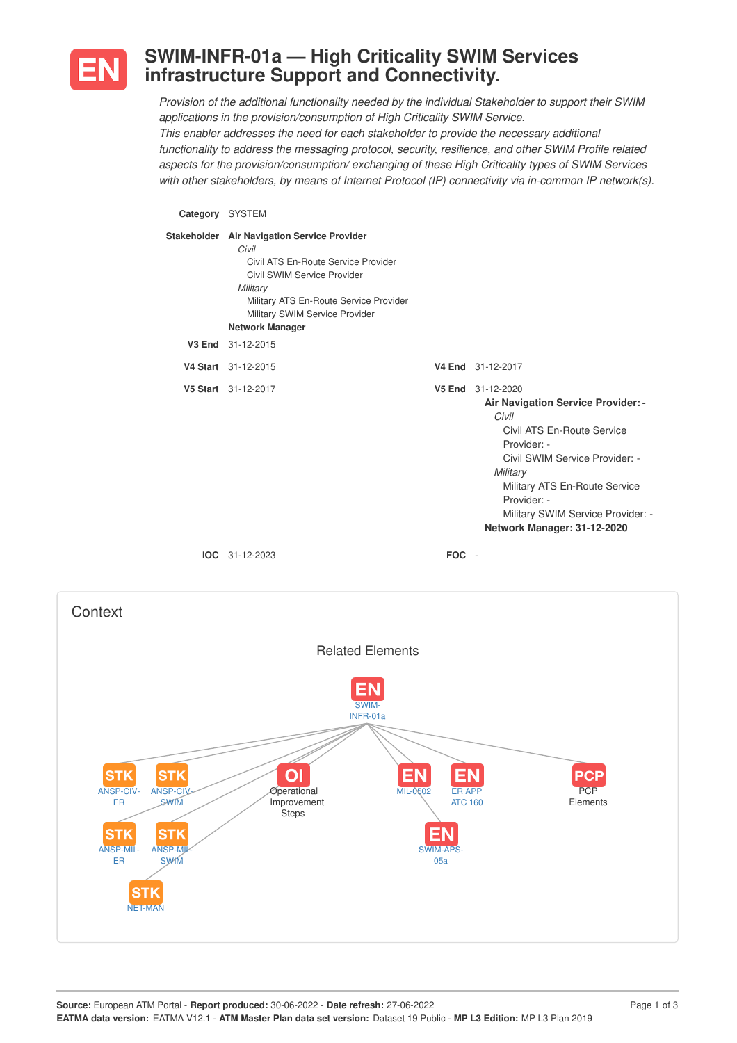

## **SWIM-INFR-01a — High Criticality SWIM Services infrastructure Support and Connectivity.**

*Provision of the additional functionality needed by the individual Stakeholder to support their SWIM applications in the provision/consumption of High Criticality SWIM Service. This enabler addresses the need for each stakeholder to provide the necessary additional functionality to address the messaging protocol, security, resilience, and other SWIM Profile related aspects for the provision/consumption/ exchanging of these High Criticality types of SWIM Services with other stakeholders, by means of Internet Protocol (IP) connectivity via in-common IP network(s).*

## **Category** SYSTEM

| Stakeholder Air Navigation Service Provider<br>Civil<br>Civil ATS En-Route Service Provider<br>Civil SWIM Service Provider<br>Military<br>Military ATS En-Route Service Provider<br>Military SWIM Service Provider<br><b>Network Manager</b> |       |                                                                                                                                                                                                                                                                                        |
|----------------------------------------------------------------------------------------------------------------------------------------------------------------------------------------------------------------------------------------------|-------|----------------------------------------------------------------------------------------------------------------------------------------------------------------------------------------------------------------------------------------------------------------------------------------|
| V3 End 31-12-2015                                                                                                                                                                                                                            |       |                                                                                                                                                                                                                                                                                        |
| V4 Start 31-12-2015                                                                                                                                                                                                                          |       | V4 End 31-12-2017                                                                                                                                                                                                                                                                      |
| V5 Start 31-12-2017                                                                                                                                                                                                                          |       | V5 End 31-12-2020<br><b>Air Navigation Service Provider: -</b><br>Civil<br>Civil ATS En-Route Service<br>Provider: -<br>Civil SWIM Service Provider: -<br>Military<br>Military ATS En-Route Service<br>Provider: -<br>Military SWIM Service Provider: -<br>Network Manager: 31-12-2020 |
| $IOC 31-12-2023$                                                                                                                                                                                                                             | FOC - |                                                                                                                                                                                                                                                                                        |

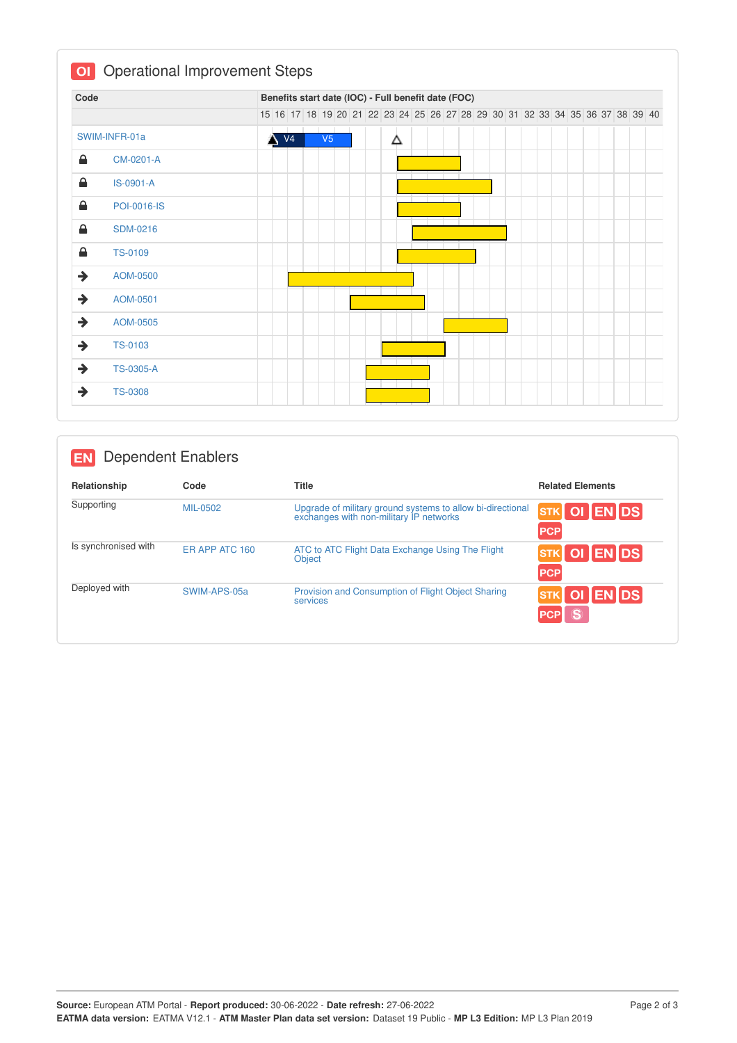| Code          |                    |  |                |                |  | Benefits start date (IOC) - Full benefit date (FOC)                           |  |  |  |  |  |  |  |  |
|---------------|--------------------|--|----------------|----------------|--|-------------------------------------------------------------------------------|--|--|--|--|--|--|--|--|
|               |                    |  |                |                |  | 15 16 17 18 19 20 21 22 23 24 25 26 27 28 29 30 31 32 33 34 35 36 37 38 39 40 |  |  |  |  |  |  |  |  |
|               | SWIM-INFR-01a      |  | V <sub>4</sub> | V <sub>5</sub> |  | Δ                                                                             |  |  |  |  |  |  |  |  |
| 숌             | CM-0201-A          |  |                |                |  |                                                                               |  |  |  |  |  |  |  |  |
| ≙             | IS-0901-A          |  |                |                |  |                                                                               |  |  |  |  |  |  |  |  |
| 숌             | <b>POI-0016-IS</b> |  |                |                |  |                                                                               |  |  |  |  |  |  |  |  |
| ≙             | <b>SDM-0216</b>    |  |                |                |  |                                                                               |  |  |  |  |  |  |  |  |
| ≙             | <b>TS-0109</b>     |  |                |                |  |                                                                               |  |  |  |  |  |  |  |  |
| →             | AOM-0500           |  |                |                |  |                                                                               |  |  |  |  |  |  |  |  |
| $\rightarrow$ | AOM-0501           |  |                |                |  |                                                                               |  |  |  |  |  |  |  |  |
| $\rightarrow$ | AOM-0505           |  |                |                |  |                                                                               |  |  |  |  |  |  |  |  |
| $\rightarrow$ | TS-0103            |  |                |                |  |                                                                               |  |  |  |  |  |  |  |  |
| $\rightarrow$ | <b>TS-0305-A</b>   |  |                |                |  |                                                                               |  |  |  |  |  |  |  |  |

| <b>EN</b>            | <b>Dependent Enablers</b> |                                                                                                       |                                      |  |  |  |  |
|----------------------|---------------------------|-------------------------------------------------------------------------------------------------------|--------------------------------------|--|--|--|--|
| Relationship         | Code                      | <b>Title</b>                                                                                          | <b>Related Elements</b>              |  |  |  |  |
| Supporting           | MIL-0502                  | Upgrade of military ground systems to allow bi-directional<br>exchanges with non-military IP networks | OI EN DS<br><b>STK</b><br><b>PCP</b> |  |  |  |  |
| Is synchronised with | ER APP ATC 160            | ATC to ATC Flight Data Exchange Using The Flight<br>Object                                            | OI ENDS<br><b>STK</b><br><b>PCP</b>  |  |  |  |  |
| Deployed with        | SWIM-APS-05a              | Provision and Consumption of Flight Object Sharing<br>services                                        | <b>ENDS</b><br><b>STK</b><br>ASY     |  |  |  |  |